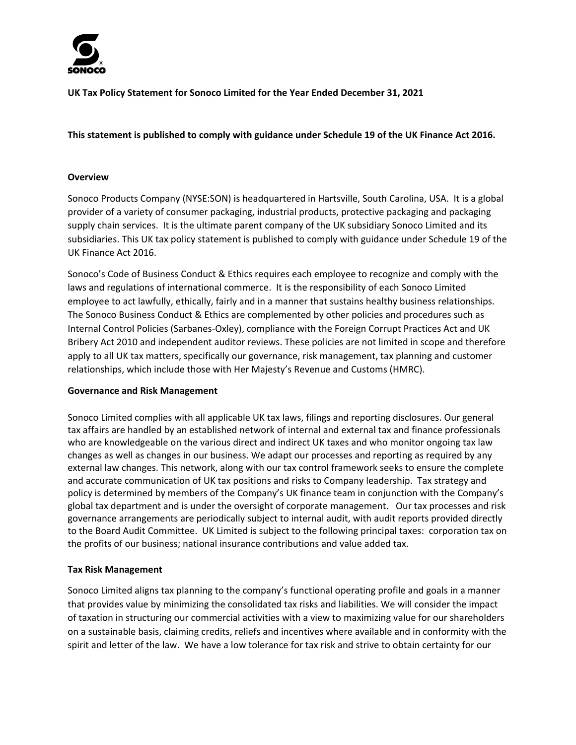

**UK Tax Policy Statement for Sonoco Limited for the Year Ended December 31, 2021**

# This statement is published to comply with guidance under Schedule 19 of the UK Finance Act 2016.

### **Overview**

Sonoco Products Company (NYSE:SON) is headquartered in Hartsville, South Carolina, USA. It is a global provider of a variety of consumer packaging, industrial products, protective packaging and packaging supply chain services. It is the ultimate parent company of the UK subsidiary Sonoco Limited and its subsidiaries. This UK tax policy statement is published to comply with guidance under Schedule 19 of the UK Finance Act 2016.

Sonoco's Code of Business Conduct & Ethics requires each employee to recognize and comply with the laws and regulations of international commerce. It is the responsibility of each Sonoco Limited employee to act lawfully, ethically, fairly and in a manner that sustains healthy business relationships. The Sonoco Business Conduct & Ethics are complemented by other policies and procedures such as Internal Control Policies (Sarbanes‐Oxley), compliance with the Foreign Corrupt Practices Act and UK Bribery Act 2010 and independent auditor reviews. These policies are not limited in scope and therefore apply to all UK tax matters, specifically our governance, risk management, tax planning and customer relationships, which include those with Her Majesty's Revenue and Customs (HMRC).

#### **Governance and Risk Management**

Sonoco Limited complies with all applicable UK tax laws, filings and reporting disclosures. Our general tax affairs are handled by an established network of internal and external tax and finance professionals who are knowledgeable on the various direct and indirect UK taxes and who monitor ongoing tax law changes as well as changes in our business. We adapt our processes and reporting as required by any external law changes. This network, along with our tax control framework seeks to ensure the complete and accurate communication of UK tax positions and risks to Company leadership. Tax strategy and policy is determined by members of the Company's UK finance team in conjunction with the Company's global tax department and is under the oversight of corporate management. Our tax processes and risk governance arrangements are periodically subject to internal audit, with audit reports provided directly to the Board Audit Committee. UK Limited is subject to the following principal taxes: corporation tax on the profits of our business; national insurance contributions and value added tax.

## **Tax Risk Management**

Sonoco Limited aligns tax planning to the company's functional operating profile and goals in a manner that provides value by minimizing the consolidated tax risks and liabilities. We will consider the impact of taxation in structuring our commercial activities with a view to maximizing value for our shareholders on a sustainable basis, claiming credits, reliefs and incentives where available and in conformity with the spirit and letter of the law. We have a low tolerance for tax risk and strive to obtain certainty for our